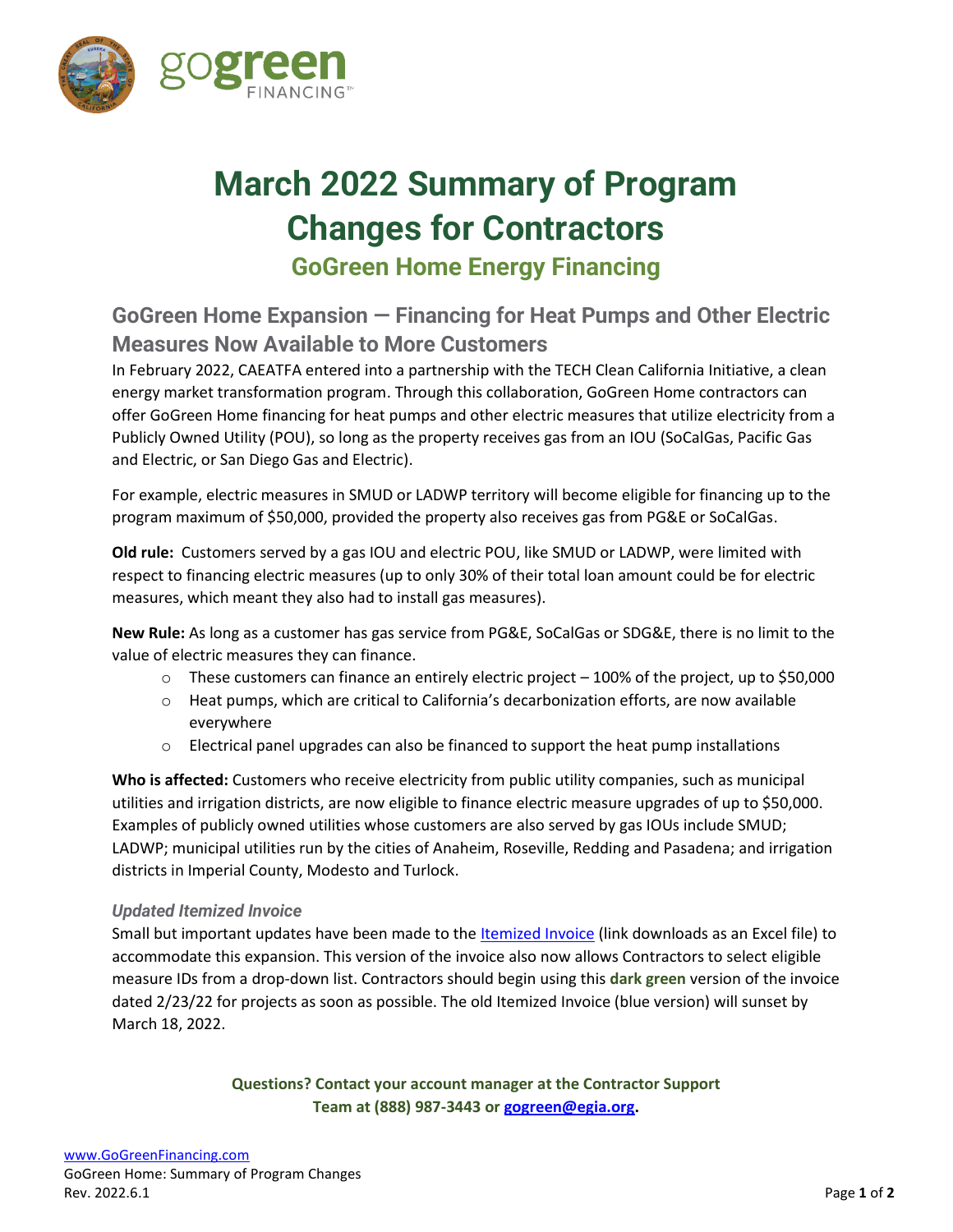

# **March 2022 Summary of Program Changes for Contractors GoGreen Home Energy Financing**

## **GoGreen Home Expansion — Financing for Heat Pumps and Other Electric Measures Now Available to More Customers**

In February 2022, CAEATFA entered into a partnership with the TECH Clean California Initiative, a clean energy market transformation program. Through this collaboration, GoGreen Home contractors can offer GoGreen Home financing for heat pumps and other electric measures that utilize electricity from a Publicly Owned Utility (POU), so long as the property receives gas from an IOU (SoCalGas, Pacific Gas and Electric, or San Diego Gas and Electric).

For example, electric measures in SMUD or LADWP territory will become eligible for financing up to the program maximum of \$50,000, provided the property also receives gas from PG&E or SoCalGas.

**Old rule:** Customers served by a gas IOU and electric POU, like SMUD or LADWP, were limited with respect to financing electric measures (up to only 30% of their total loan amount could be for electric measures, which meant they also had to install gas measures).

**New Rule:** As long as a customer has gas service from PG&E, SoCalGas or SDG&E, there is no limit to the value of electric measures they can finance.

- $\circ$  These customers can finance an entirely electric project 100% of the project, up to \$50,000
- o Heat pumps, which are critical to California's decarbonization efforts, are now available everywhere
- $\circ$  Electrical panel upgrades can also be financed to support the heat pump installations

**Who is affected:** Customers who receive electricity from public utility companies, such as municipal utilities and irrigation districts, are now eligible to finance electric measure upgrades of up to \$50,000. Examples of publicly owned utilities whose customers are also served by gas IOUs include SMUD; LADWP; municipal utilities run by the cities of Anaheim, Roseville, Redding and Pasadena; and irrigation districts in Imperial County, Modesto and Turlock.

#### *Updated Itemized Invoice*

Small but important updates have been made to th[e Itemized Invoice](https://treasurer.ca.gov/caeatfa/cheef/reel/forms/invoice.xlsx) (link downloads as an Excel file) to accommodate this expansion. This version of the invoice also now allows Contractors to select eligible measure IDs from a drop-down list. Contractors should begin using this **dark green** version of the invoice dated 2/23/22 for projects as soon as possible. The old Itemized Invoice (blue version) will sunset by March 18, 2022.

> **Questions? Contact your account manager at the Contractor Support Team at (888) 987-3443 or [gogreen@egia.org.](mailto:gogreen@egia.org)**